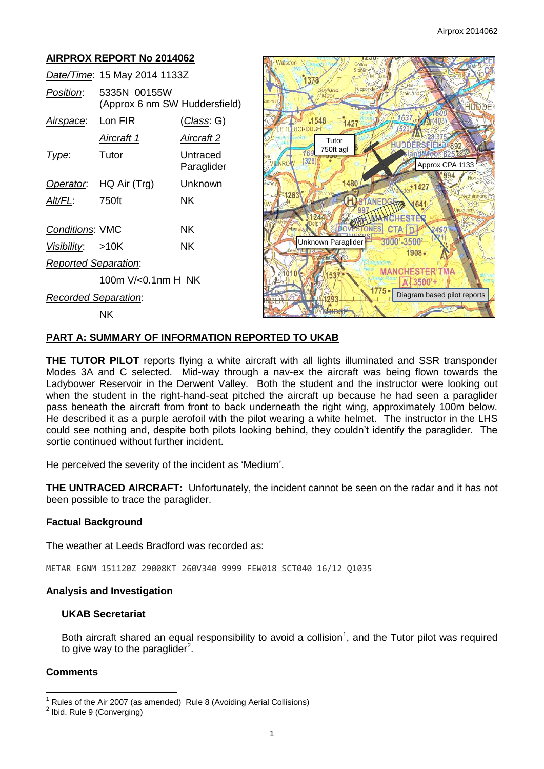# **AIRPROX REPORT No 2014062**

|                             | Date/Time: 15 May 2014 1133Z                  |                        |
|-----------------------------|-----------------------------------------------|------------------------|
| Position:                   | 5335N 00155W<br>(Approx 6 nm SW Huddersfield) |                        |
| Airspace:                   | Lon FIR                                       | <u>(Class</u> : G)     |
|                             | Aircraft 1                                    | Aircraft 2             |
| l ype:                      | Tutor                                         | Untraced<br>Paraglider |
| Operator.                   | HQ Air (Trg)                                  | Unknown                |
| Alt/FL:                     | 750ft                                         | ΝK                     |
| <b>Conditions: VMC</b>      |                                               | ΝK                     |
| Visibility: >10K            |                                               | ΝK                     |
| <b>Reported Separation:</b> |                                               |                        |
|                             | 100m V/<0.1nm H_NK                            |                        |
| Recorded Separation:        |                                               |                        |

NK



### **PART A: SUMMARY OF INFORMATION REPORTED TO UKAB**

**THE TUTOR PILOT** reports flying a white aircraft with all lights illuminated and SSR transponder Modes 3A and C selected. Mid-way through a nav-ex the aircraft was being flown towards the Ladybower Reservoir in the Derwent Valley. Both the student and the instructor were looking out when the student in the right-hand-seat pitched the aircraft up because he had seen a paraglider pass beneath the aircraft from front to back underneath the right wing, approximately 100m below. He described it as a purple aerofoil with the pilot wearing a white helmet. The instructor in the LHS could see nothing and, despite both pilots looking behind, they couldn't identify the paraglider. The sortie continued without further incident.

He perceived the severity of the incident as 'Medium'.

**THE UNTRACED AIRCRAFT:** Unfortunately, the incident cannot be seen on the radar and it has not been possible to trace the paraglider.

#### **Factual Background**

The weather at Leeds Bradford was recorded as:

METAR EGNM 151120Z 29008KT 260V340 9999 FEW018 SCT040 16/12 Q1035

#### **Analysis and Investigation**

### **UKAB Secretariat**

Both aircraft shared an equal responsibility to avoid a collision<sup>1</sup>, and the Tutor pilot was required to give way to the paraglider<sup>2</sup>.

## **Comments**

 $\overline{\phantom{a}}$ <sup>1</sup> Rules of the Air 2007 (as amended) Rule 8 (Avoiding Aerial Collisions)

<sup>&</sup>lt;sup>2</sup> Ibid. Rule 9 (Converging)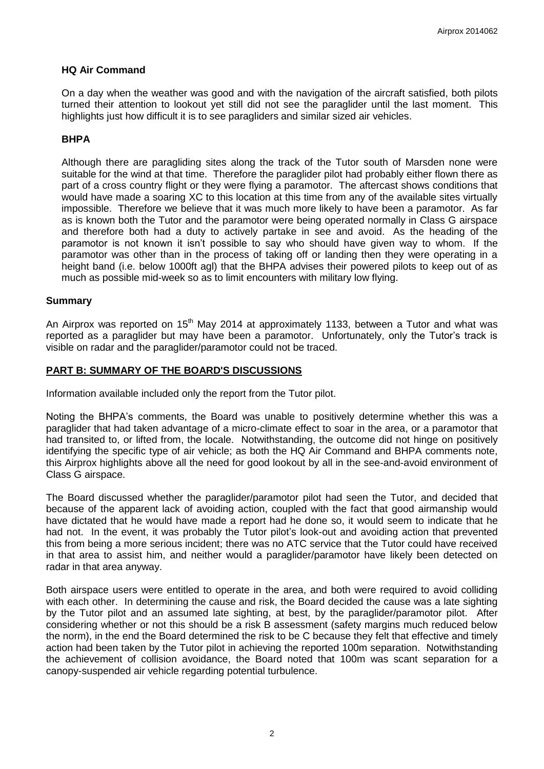#### **HQ Air Command**

On a day when the weather was good and with the navigation of the aircraft satisfied, both pilots turned their attention to lookout yet still did not see the paraglider until the last moment. This highlights just how difficult it is to see paragliders and similar sized air vehicles.

### **BHPA**

Although there are paragliding sites along the track of the Tutor south of Marsden none were suitable for the wind at that time. Therefore the paraglider pilot had probably either flown there as part of a cross country flight or they were flying a paramotor. The aftercast shows conditions that would have made a soaring XC to this location at this time from any of the available sites virtually impossible. Therefore we believe that it was much more likely to have been a paramotor. As far as is known both the Tutor and the paramotor were being operated normally in Class G airspace and therefore both had a duty to actively partake in see and avoid. As the heading of the paramotor is not known it isn't possible to say who should have given way to whom. If the paramotor was other than in the process of taking off or landing then they were operating in a height band (i.e. below 1000ft agl) that the BHPA advises their powered pilots to keep out of as much as possible mid-week so as to limit encounters with military low flying.

#### **Summary**

An Airprox was reported on 15<sup>th</sup> May 2014 at approximately 1133, between a Tutor and what was reported as a paraglider but may have been a paramotor. Unfortunately, only the Tutor's track is visible on radar and the paraglider/paramotor could not be traced.

#### **PART B: SUMMARY OF THE BOARD'S DISCUSSIONS**

Information available included only the report from the Tutor pilot.

Noting the BHPA's comments, the Board was unable to positively determine whether this was a paraglider that had taken advantage of a micro-climate effect to soar in the area, or a paramotor that had transited to, or lifted from, the locale. Notwithstanding, the outcome did not hinge on positively identifying the specific type of air vehicle; as both the HQ Air Command and BHPA comments note, this Airprox highlights above all the need for good lookout by all in the see-and-avoid environment of Class G airspace.

The Board discussed whether the paraglider/paramotor pilot had seen the Tutor, and decided that because of the apparent lack of avoiding action, coupled with the fact that good airmanship would have dictated that he would have made a report had he done so, it would seem to indicate that he had not. In the event, it was probably the Tutor pilot's look-out and avoiding action that prevented this from being a more serious incident; there was no ATC service that the Tutor could have received in that area to assist him, and neither would a paraglider/paramotor have likely been detected on radar in that area anyway.

Both airspace users were entitled to operate in the area, and both were required to avoid colliding with each other. In determining the cause and risk, the Board decided the cause was a late sighting by the Tutor pilot and an assumed late sighting, at best, by the paraglider/paramotor pilot. After considering whether or not this should be a risk B assessment (safety margins much reduced below the norm), in the end the Board determined the risk to be C because they felt that effective and timely action had been taken by the Tutor pilot in achieving the reported 100m separation. Notwithstanding the achievement of collision avoidance, the Board noted that 100m was scant separation for a canopy-suspended air vehicle regarding potential turbulence.